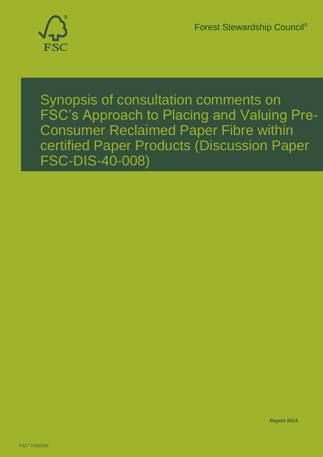Forest Stewardship Council®



Synopsis of consultation comments on FSC's Approach to Placing and Valuing Pre-Consumer Reclaimed Paper Fibre within certified Paper Products (Discussion Paper FSC-DIS-40-008)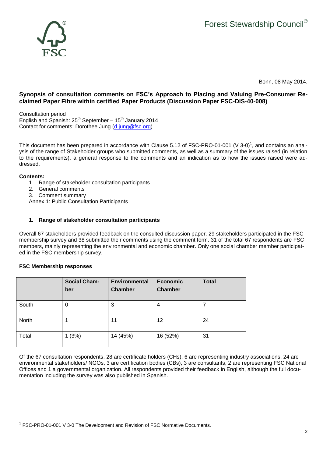

Bonn, 08 May 2014.

# **Synopsis of consultation comments on FSC's Approach to Placing and Valuing Pre-Consumer Reclaimed Paper Fibre within certified Paper Products (Discussion Paper FSC-DIS-40-008)**

Consultation period English and Spanish: 25<sup>th</sup> September – 15<sup>th</sup> January 2014 Contact for comments: Dorothee Jung [\(d.jung@fsc.org\)](mailto:d.jung@fsc.org)

This document has been prepared in accordance with Clause 5.12 of FSC-PRO-01-001 (V 3-0)<sup>1</sup>, and contains an analysis of the range of Stakeholder groups who submitted comments, as well as a summary of the issues raised (in relation to the requirements), a general response to the comments and an indication as to how the issues raised were addressed.

## **Contents:**

- 1. Range of stakeholder consultation participants
- 2. General comments
- 3. Comment summary

Annex 1: Public Consultation Participants

## **1. Range of stakeholder consultation participants**

Overall 67 stakeholders provided feedback on the consulted discussion paper. 29 stakeholders participated in the FSC membership survey and 38 submitted their comments using the comment form. 31 of the total 67 respondents are FSC members, mainly representing the environmental and economic chamber. Only one social chamber member participated in the FSC membership survey.

## **FSC Membership responses**

|       | <b>Social Cham-</b><br>ber | <b>Environmental</b><br><b>Chamber</b> | <b>Economic</b><br><b>Chamber</b> | <b>Total</b> |
|-------|----------------------------|----------------------------------------|-----------------------------------|--------------|
| South | 0                          | 3                                      | 4                                 |              |
| North |                            | 11                                     | 12                                | 24           |
| Total | 1(3%)                      | 14 (45%)                               | 16 (52%)                          | 31           |

Of the 67 consultation respondents, 28 are certificate holders (CHs), 6 are representing industry associations, 24 are environmental stakeholders/ NGOs, 3 are certification bodies (CBs), 3 are consultants, 2 are representing FSC National Offices and 1 a governmental organization. All respondents provided their feedback in English, although the full documentation including the survey was also published in Spanish.

<sup>1</sup> FSC-PRO-01-001 V 3-0 The Development and Revision of FSC Normative Documents.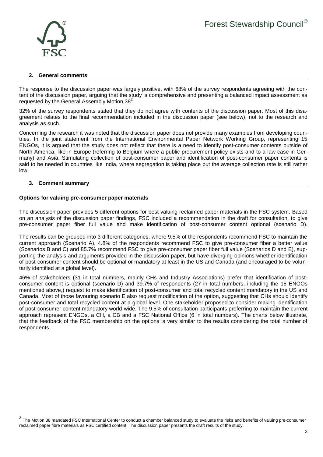

#### **2. General comments**

The response to the discussion paper was largely positive, with 68% of the survey respondents agreeing with the content of the discussion paper, arguing that the study is comprehensive and presenting a balanced impact assessment as requested by the General Assembly Motion  $38^2$ .

32% of the survey respondents stated that they do not agree with contents of the discussion paper. Most of this disagreement relates to the final recommendation included in the discussion paper (see below), not to the research and analysis as such.

Concerning the research it was noted that the discussion paper does not provide many examples from developing countries. In the joint statement from the International Environmental Paper Network Working Group, representing 15 ENGOs, it is argued that the study does not reflect that there is a need to identify post-consumer contents outside of North America, like in Europe (referring to Belgium where a public procurement policy exists and to a law case in Germany) and Asia. Stimulating collection of post-consumer paper and identification of post-consumer paper contents is said to be needed in countries like India, where segregation is taking place but the average collection rate is still rather low.

#### **3. Comment summary**

#### **Options for valuing pre-consumer paper materials**

The discussion paper provides 5 different options for best valuing reclaimed paper materials in the FSC system. Based on an analysis of the discussion paper findings, FSC included a recommendation in the draft for consultation, to give pre-consumer paper fiber full value and make identification of post-consumer content optional (scenario D).

The results can be grouped into 3 different categories, where 9.5% of the respondents recommend FSC to maintain the current approach (Scenario A), 4.8% of the respondents recommend FSC to give pre-consumer fiber a better value (Scenarios B and C) and 85.7% recommend FSC to give pre-consumer paper fiber full value (Scenarios D and E), supporting the analysis and arguments provided in the discussion paper, but have diverging opinions whether identification of post-consumer content should be optional or mandatory at least in the US and Canada (and encouraged to be voluntarily identified at a global level).

46% of stakeholders (31 in total numbers, mainly CHs and Industry Associations) prefer that identification of postconsumer content is optional (scenario D) and 39.7% of respondents (27 in total numbers, including the 15 ENGOs mentioned above,) request to make identification of post-consumer and total recycled content mandatory in the US and Canada. Most of those favouring scenario E also request modification of the option, suggesting that CHs should identify post-consumer and total recycled content at a global level. One stakeholder proposed to consider making identification of post-consumer content mandatory world-wide. The 9.5% of consultation participants preferring to maintain the current approach represent ENGOs, a CH, a CB and a FSC National Office (6 in total numbers). The charts below illustrate, that the feedback of the FSC membership on the options is very similar to the results considering the total number of respondents.

 $2$  The Motion 38 mandated FSC International Center to conduct a chamber balanced study to evaluate the risks and benefits of valuing pre-consumer reclaimed paper fibre materials as FSC certified content. The discussion paper presents the draft results of the study.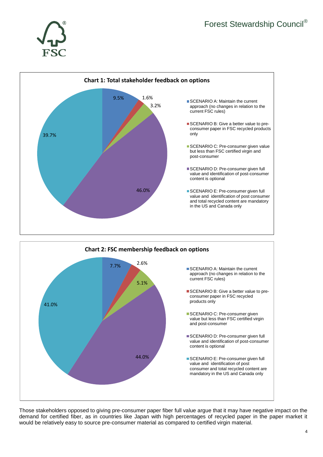





Those stakeholders opposed to giving pre-consumer paper fiber full value argue that it may have negative impact on the demand for certified fiber, as in countries like Japan with high percentages of recycled paper in the paper market it would be relatively easy to source pre-consumer material as compared to certified virgin material.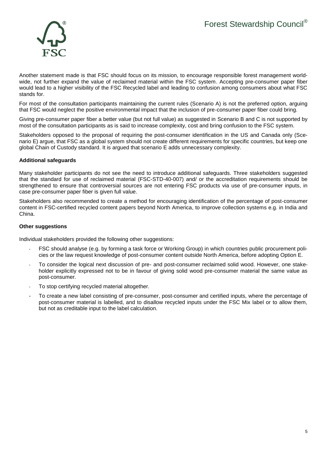

Another statement made is that FSC should focus on its mission, to encourage responsible forest management worldwide, not further expand the value of reclaimed material within the FSC system. Accepting pre-consumer paper fiber would lead to a higher visibility of the FSC Recycled label and leading to confusion among consumers about what FSC stands for.

For most of the consultation participants maintaining the current rules (Scenario A) is not the preferred option, arguing that FSC would neglect the positive environmental impact that the inclusion of pre-consumer paper fiber could bring.

Giving pre-consumer paper fiber a better value (but not full value) as suggested in Scenario B and C is not supported by most of the consultation participants as is said to increase complexity, cost and bring confusion to the FSC system.

Stakeholders opposed to the proposal of requiring the post-consumer identification in the US and Canada only (Scenario E) argue, that FSC as a global system should not create different requirements for specific countries, but keep one global Chain of Custody standard. It is argued that scenario E adds unnecessary complexity.

#### **Additional safeguards**

Many stakeholder participants do not see the need to introduce additional safeguards. Three stakeholders suggested that the standard for use of reclaimed material (FSC-STD-40-007) and/ or the accreditation requirements should be strengthened to ensure that controversial sources are not entering FSC products via use of pre-consumer inputs, in case pre-consumer paper fiber is given full value.

Stakeholders also recommended to create a method for encouraging identification of the percentage of post-consumer content in FSC-certified recycled content papers beyond North America, to improve collection systems e.g. in India and China.

#### **Other suggestions**

Individual stakeholders provided the following other suggestions:

- FSC should analyse (e.g. by forming a task force or Working Group) in which countries public procurement policies or the law request knowledge of post-consumer content outside North America, before adopting Option E.
- To consider the logical next discussion of pre- and post-consumer reclaimed solid wood. However, one stakeholder explicitly expressed not to be in favour of giving solid wood pre-consumer material the same value as post-consumer.
- To stop certifying recycled material altogether.
- To create a new label consisting of pre-consumer, post-consumer and certified inputs, where the percentage of post-consumer material is labelled, and to disallow recycled inputs under the FSC Mix label or to allow them, but not as creditable input to the label calculation.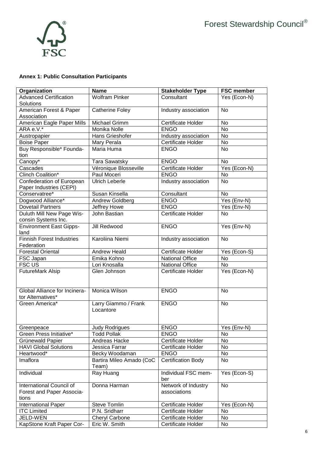

# **Annex 1: Public Consultation Participants**

| Organization                                                   | <b>Name</b>                       | <b>Stakeholder Type</b>             | <b>FSC member</b> |
|----------------------------------------------------------------|-----------------------------------|-------------------------------------|-------------------|
| <b>Advanced Certification</b><br>Solutions                     | <b>Wolfram Pinker</b>             | Consultant                          | Yes (Econ-N)      |
| American Forest & Paper<br>Association                         | <b>Catherine Foley</b>            | Industry association                | No                |
| American Eagle Paper Mills                                     | Michael Grimm                     | Certificate Holder                  | <b>No</b>         |
| ARA e.V.*                                                      | Monika Nolle                      | <b>ENGO</b>                         | No                |
| Austropapier                                                   | Hans Grieshofer                   | Industry association                | No                |
| <b>Boise Paper</b>                                             | Mary Perala                       | Certificate Holder                  | <b>No</b>         |
| Buy Responsible* Founda-                                       | Maria Huma                        | <b>ENGO</b>                         | No                |
| tion                                                           |                                   |                                     |                   |
| Canopy*                                                        | Tara Sawatsky                     | <b>ENGO</b>                         | <b>No</b>         |
| Cascades                                                       | Véronique Blosseville             | Certificate Holder                  | $Yes (Econ-N)$    |
| Clinch Coalition*                                              | Paul Moceri                       | <b>ENGO</b>                         | <b>No</b>         |
| Confederation of European<br>Paper Industries (CEPI)           | <b>Ulrich Leberle</b>             | Industry association                | <b>No</b>         |
| Conservatree*                                                  | Susan Kinsella                    | Consultant                          | <b>No</b>         |
| Dogwood Alliance*                                              | Andrew Goldberg                   | <b>ENGO</b>                         | Yes (Env-N)       |
| <b>Dovetail Partners</b>                                       | Jeffrey Howe                      | <b>ENGO</b>                         | Yes (Env-N)       |
| Duluth Mill New Page Wis-<br>consin Systems Inc.               | John Bastian                      | <b>Certificate Holder</b>           | No                |
| <b>Environment East Gipps-</b><br>land                         | Jill Redwood                      | <b>ENGO</b>                         | Yes (Env-N)       |
| <b>Finnish Forest Industries</b><br>Federation                 | Karoliina Niemi                   | Industry association                | No                |
| <b>Forestal Oriental</b>                                       | <b>Andrew Heald</b>               | Certificate Holder                  | Yes (Econ-S)      |
| FSC Japan                                                      | Emika Kohno                       | <b>National Office</b>              | No                |
| <b>FSC US</b>                                                  | Lori Knosalla                     | <b>National Office</b>              | No                |
| <b>FutureMark Alsip</b>                                        | Glen Johnson                      | Certificate Holder                  | Yes (Econ-N)      |
| Global Alliance for Incinera-<br>tor Alternatives*             | <b>Monica Wilson</b>              | <b>ENGO</b>                         | No                |
| Green America*                                                 | Larry Giammo / Frank<br>Locantore | <b>ENGO</b>                         | No                |
| Greenpeace                                                     | <b>Judy Rodrigues</b>             | <b>ENGO</b>                         | Yes (Env-N)       |
| Green Press Initiative*                                        | <b>Todd Pollak</b>                | <b>ENGO</b>                         | No                |
| Grünewald Papier                                               | Andreas Hacke                     | Certificate Holder                  | No                |
| <b>HAVI Global Solutions</b>                                   | Jessica Farrar                    | Certificate Holder                  | No                |
| Heartwood*                                                     | Becky Woodaman                    | <b>ENGO</b>                         | No                |
| Imaflora                                                       | Bartira Mileo Amado (CoC<br>Team) | <b>Certification Body</b>           | No                |
| Individual                                                     | Ray Huang                         | Individual FSC mem-<br>ber          | Yes (Econ-S)      |
| International Council of<br>Forest and Paper Associa-<br>tions | Donna Harman                      | Network of Industry<br>associations | No                |
| International Paper                                            | <b>Steve Tomlin</b>               | Certificate Holder                  | Yes (Econ-N)      |
| <b>ITC Limited</b>                                             | P.N. Sridharr                     | Certificate Holder                  | No                |
| JELD-WEN                                                       | <b>Cheryl Carbone</b>             | Certificate Holder                  | No                |
| KapStone Kraft Paper Cor-                                      | Eric W. Smith                     | Certificate Holder                  | No                |